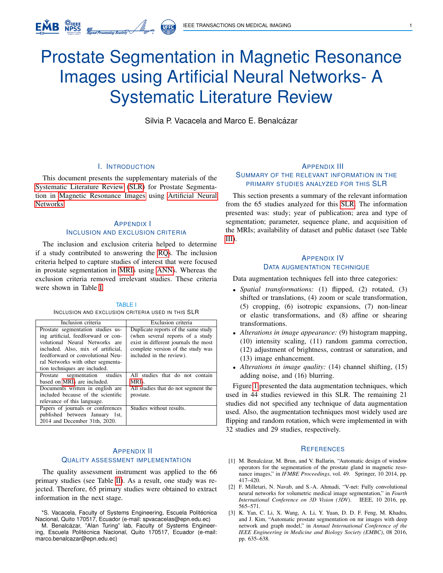# <span id="page-0-1"></span>Prostate Segmentation in Magnetic Resonance Images using Artificial Neural Networks- A Systematic Literature Review

**UFFC** 

Silvia P. Vacacela and Marco E. Benalcázar

## I. INTRODUCTION

This document presents the supplementary materials of the Systematic Literature Review (SLR) for Prostate Segmentation in Magnetic Resonance Images using Artificial Neural Networks.

## APPENDIX I INCLUSION AND EXCLUSION CRITERIA

The inclusion and exclusion criteria helped to determine if a study contributed to answering the RQs. The inclusion criteria helped to capture studies of interest that were focused in prostate segmentation in MRIs using ANNs. Whereas the exclusion criteria removed irrelevant studies. These criteria were shown in Table [I.](#page-0-0)

#### TABLE I INCLUSION AND EXCLUSION CRITERIA USED IN THIS SLR

<span id="page-0-0"></span>

| Inclusion criteria                                                                                                                                                                                                         | Exclusion criteria                                                                                                                                                               |
|----------------------------------------------------------------------------------------------------------------------------------------------------------------------------------------------------------------------------|----------------------------------------------------------------------------------------------------------------------------------------------------------------------------------|
| Prostate segmentation studies us-<br>ing artificial, feedforward or con-<br>volutional Neural Networks are<br>included. Also, mix of artificial,<br>feedforward or convolutional Neu-<br>ral Networks with other segmenta- | Duplicate reports of the same study<br>(when several reports of a study<br>exist in different journals the most<br>complete version of the study was<br>included in the review). |
| tion techniques are included.                                                                                                                                                                                              |                                                                                                                                                                                  |
| segmentation studies<br>Prostate<br>based on MRIs are included.                                                                                                                                                            | All studies that do not contain<br>MRIs.                                                                                                                                         |
| Documents written in english are<br>included because of the scientific<br>relevance of this language.                                                                                                                      | All studies that do not segment the<br>prostate.                                                                                                                                 |
| Papers of journals or conferences<br>published between January 1st,<br>2014 and December 31th, 2020.                                                                                                                       | Studies without results.                                                                                                                                                         |

#### APPENDIX II QUALITY ASSESSMENT IMPLEMENTATION

The quality assessment instrument was applied to the 66 primary studies (see Table [II\)](#page-1-0). As a result, one study was rejected. Therefore, 65 primary studies were obtained to extract information in the next stage.

\*S. Vacacela, Faculty of Systems Engineering, Escuela Politécnica Nacional, Quito 170517, Ecuador (e-mail: spvacacelas@epn.edu.ec)

M. Benalcázar, "Alan Turing" lab, Faculty of Systems Engineering, Escuela Politécnica Nacional, Quito 170517, Ecuador (e-mail: marco.benalcazar@epn.edu.ec)

## APPENDIX III SUMMARY OF THE RELEVANT INFORMATION IN THE PRIMARY STUDIES ANALYZED FOR THIS SLR

This section presents a summary of the relevant information from the 65 studies analyzed for this SLR. The information presented was: study; year of publication; area and type of segmentation; parameter, sequence plane, and acquisition of the MRIs; availability of dataset and public dataset (see Table [III\)](#page-2-0).

## APPENDIX IV DATA AUGMENTATION TECHNIQUE

Data augmentation techniques fell into three categories:

- *Spatial transformations:* (1) flipped, (2) rotated, (3) shifted or translations, (4) zoom or scale transformation, (5) cropping, (6) isotropic expansions, (7) non-linear or elastic transformations, and (8) affine or shearing transformations.
- *Alterations in image appearance:* (9) histogram mapping, (10) intensity scaling, (11) random gamma correction, (12) adjustment of brightness, contrast or saturation, and (13) image enhancement.
- *Alterations in image quality:* (14) channel shifting, (15) adding noise, and (16) blurring.

Figure [1](#page-1-1) presented the data augmentation techniques, which used in 44 studies reviewed in this SLR. The remaining 21 studies did not specified any technique of data augmentation used. Also, the augmentation techniques most widely used are flipping and random rotation, which were implemented in with 32 studies and 29 studies, respectively.

#### **REFERENCES**

- [1] M. Benalcázar, M. Brun, and V. Ballarin, "Automatic design of window operators for the segmentation of the prostate gland in magnetic resonance images," in *IFMBE Proceedings*, vol. 49. Springer, 10 2014, pp. 417–420.
- [2] F. Milletari, N. Navab, and S.-A. Ahmadi, "V-net: Fully convolutional neural networks for volumetric medical image segmentation," in *Fourth International Conference on 3D Vision (3DV)*. IEEE, 10 2016, pp. 565–571.
- [3] K. Yan, C. Li, X. Wang, A. Li, Y. Yuan, D. D. F. Feng, M. Khadra, and J. Kim, "Automatic prostate segmentation on mr images with deep network and graph model," in *Annual International Conference of the IEEE Engineering in Medicine and Biology Society (EMBC)*, 08 2016, pp. 635–638.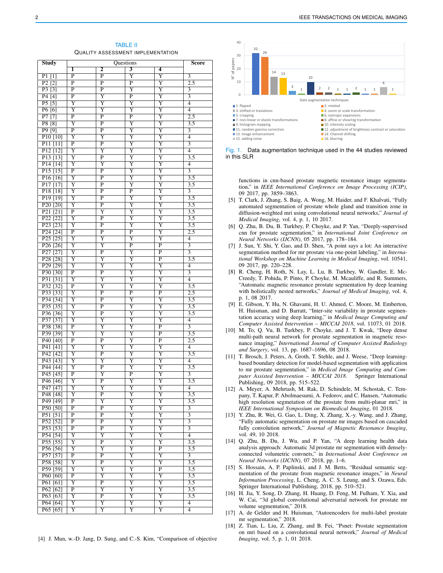TABLE II QUALITY ASSESSMENT IMPLEMENTATION

<span id="page-1-0"></span>

| <b>Study</b>          | Questions               |                         |                         |                         | Score                     |
|-----------------------|-------------------------|-------------------------|-------------------------|-------------------------|---------------------------|
|                       | 1                       | 2                       | 3                       | 4                       |                           |
| $P1$ [1]              | $\overline{\mathrm{P}}$ | $\overline{\mathrm{P}}$ | Y                       | Y                       | 3                         |
| P2[2]                 | P                       | P                       | P                       | Y                       | 2.5                       |
| P3 [3]                | $\overline{\mathrm{P}}$ | $\overline{\mathrm{P}}$ | Ÿ                       | Y                       | $\overline{\mathbf{3}}$   |
| P4 [4]                | P                       | $\overline{\text{Y}}$   | $\overline{P}$          | $\overline{\text{Y}}$   | $\overline{\mathbf{3}}$   |
| $\overline{P5}$ [5]   | $\overline{\text{Y}}$   | $\overline{\text{Y}}$   | $\overline{\text{Y}}$   | $\overline{\text{Y}}$   | 4                         |
| P6 [6]                | Y                       | Y                       | Y                       | Y                       | $\overline{4}$            |
| P7[7]                 | $\overline{\mathrm{P}}$ | P                       | $\overline{\mathrm{P}}$ | Y                       | 2.5                       |
| <b>P8 [8]</b>         | $\overline{\mathrm{Y}}$ | $\overline{\text{P}}$   | $\overline{\mathrm{Y}}$ | Y                       | $\overline{3.5}$          |
| P9 [9]                | $\overline{\mathrm{P}}$ | $\overline{\mathrm{P}}$ | $\overline{\mathrm{Y}}$ | $\overline{\text{Y}}$   | $\overline{\overline{3}}$ |
| $P10$ [10]            | Y                       | $\overline{\mathrm{Y}}$ | $\overline{\mathrm{Y}}$ | Y                       | $\overline{4}$            |
| $P11$ [11]            | $\overline{\mathrm{P}}$ | $\overline{\text{P}}$   | Y                       | Y                       | $\overline{3}$            |
| P <sub>12</sub> [12]  | $\overline{\mathrm{Y}}$ | $\overline{\mathrm{Y}}$ | $\overline{\text{Y}}$   | $\overline{\text{Y}}$   | $\overline{4}$            |
| P <sub>13</sub> [13]  | $\overline{\mathrm{Y}}$ | $\overline{\mathrm{P}}$ | $\overline{\text{Y}}$   | $\overline{\text{Y}}$   | $\overline{3.5}$          |
| P14[14]               | Y                       | Y                       | $\overline{\mathrm{Y}}$ | Y                       | 4                         |
| P15[15]               | $\overline{\mathrm{P}}$ | $\overline{\text{P}}$   | $\overline{\mathrm{Y}}$ | $\overline{\mathrm{Y}}$ | $\overline{3}$            |
| P16[16]               | $\overline{\text{Y}}$   | $\overline{\mathrm{P}}$ | Y                       | Y                       | $\overline{3.5}$          |
| P17[17]               | $\overline{\text{Y}}$   | $\overline{\mathrm{P}}$ | Y                       | $\overline{\text{Y}}$   | $\overline{3.5}$          |
| P18 [18]              | Y                       | $\overline{\mathrm{P}}$ | $\overline{\mathrm{P}}$ | Y                       | $\overline{3}$            |
| P <sub>19</sub> [19]  | $\overline{\mathrm{Y}}$ | $\overline{\mathrm{P}}$ | $\overline{\mathrm{Y}}$ | $\overline{\mathrm{Y}}$ | $\overline{3.5}$          |
| P <sub>20</sub> [20]  | Y                       | $\overline{\mathrm{P}}$ | $\overline{\text{Y}}$   | Y                       | $\overline{3.5}$          |
| P21 [21]              | $\overline{P}$          | $\overline{\text{Y}}$   | $\overline{\text{Y}}$   | $\overline{\text{Y}}$   | $\overline{3.5}$          |
| P22 <sub>[22]</sub>   | $\overline{\text{Y}}$   | P                       | Y                       | Y                       | $\overline{3.5}$          |
| P <sub>23</sub> [23]  | Y                       | $\overline{\mathrm{P}}$ | $\overline{\text{Y}}$   | $\overline{\mathrm{Y}}$ | $\overline{3.5}$          |
| P <sub>24</sub> [24]  | $\overline{P}$          | $\overline{P}$          | $\overline{\text{P}}$   | Y                       | 2.5                       |
| P <sub>25</sub> [25]  | Y                       | $\overline{\text{Y}}$   | $\overline{\text{Y}}$   | $\overline{\mathrm{Y}}$ | $\overline{4}$            |
| P <sub>26</sub> [26]  | $\overline{\mathrm{Y}}$ | $\overline{\text{Y}}$   | $\overline{\text{P}}$   | P                       | $\overline{3}$            |
| P <sub>27</sub> [27]  | Y                       | $\overline{P}$          | Y                       | $\overline{\mathrm{P}}$ | $\overline{3}$            |
| P28 [28]              | Y                       | Y                       | Y                       | $\overline{P}$          | 3.5                       |
| P <sub>29</sub> [29]  | Y                       | Y                       | Y                       | Y                       | $\overline{4}$            |
| P30 [30]              | P                       | P                       | Y                       | Y                       | 3                         |
| P31 [31]              | Y                       | Y                       | Y                       | Y                       | $\overline{4}$            |
| P32 <sup>[32]</sup>   | P                       | Y                       | Y                       | Y                       | 3.5                       |
| P33 [33]              | Y                       | $\overline{\mathrm{P}}$ | $\overline{\mathrm{P}}$ | $\overline{\mathrm{P}}$ | 2.5                       |
| P34 [34]              | Y                       | P                       | Y                       | Y                       | 3.5                       |
| P35 [35]              | Y                       | P                       | Y                       | Y                       | 3.5                       |
| P36 <sup>[36]</sup>   | Y                       | $\overline{\mathrm{P}}$ | Y                       | Y                       | 3.5                       |
| P37 [37]              | Y                       | Y                       | Y                       | $\overline{\mathrm{Y}}$ | $\overline{4}$            |
| P38 [38]              | P                       | $\overline{\text{Y}}$   | Y                       | P                       | 3                         |
| P39 <sup>[39]</sup>   | Y                       | Y                       | Y                       | P                       | 3.5                       |
| P <sub>40</sub> [40]  | P                       | $\overline{\mathrm{P}}$ | Y                       | P                       | 2.5                       |
| P41 [41]              | Y                       | Y                       | Y                       | Y                       | 4                         |
| P42 [42]              | $\overline{\text{Y}}$   | $\overline{\mathrm{P}}$ | $\overline{\text{Y}}$   | $\overline{\text{Y}}$   | $\overline{3.5}$          |
| $\overline{P43}$ [43] | Y                       | Y                       | Y                       | Y                       | 4                         |
| $\overline{P44}$ [44] | Y                       | P                       | Y                       | Y                       | 3.5                       |
| $\overline{P}45$ [45] | $_{\rm P}$              | $\overline{\mathrm{Y}}$ | $\overline{\mathrm{P}}$ | Y                       | $\overline{3}$            |
| P <sub>46</sub> [46]  | $\overline{\mathrm{Y}}$ | $\overline{P}$          | $\overline{\text{Y}}$   | $\overline{Y}$          | $\overline{3.5}$          |
| P47 [47]              | Y                       | Y                       | Y                       | Y                       | 4                         |
| P48 [48]              | Y                       | $_{\rm P}$              | Y                       | Y                       | 3.5                       |
| P49 [49]              | $_{\rm P}$              | Y                       | Y                       | Y                       | 3.5                       |
| P50 [50]              | $\overline{P}$          | $\overline{\mathrm{P}}$ | $\overline{Y}$          | $\overline{Y}$          | $\overline{\overline{3}}$ |
| P51 [51]              | $_{\rm P}$              | $\overline{\mathbf{P}}$ | Y                       | Y                       | $\overline{\overline{3}}$ |
| P52 [52]              | $_{\rm P}$              | $\overline{\mathrm{P}}$ | Y                       | $\overline{\mathrm{Y}}$ | $\overline{3}$            |
| P53 [53]              | $\overline{P}$          | $\overline{P}$          | $\overline{\text{Y}}$   | $\overline{\mathrm{Y}}$ | $\overline{3}$            |
| P54 [54]              | $\overline{\text{Y}}$   | $\overline{\mathrm{Y}}$ | $\overline{\text{Y}}$   | $\overline{\mathrm{Y}}$ | $\overline{4}$            |
| P55 [55]              | $\overline{\text{Y}}$   | P                       | $\overline{\text{Y}}$   | Y                       | 3.5                       |
| P56 [56]              | $\overline{\mathrm{Y}}$ | $\overline{\mathrm{Y}}$ | $\overline{\text{Y}}$   | $\overline{\mathrm{P}}$ | $\overline{3.5}$          |
| P57 [57]              | $\overline{P}$          | $\overline{\mathbf{P}}$ | $\overline{\text{Y}}$   | $\overline{\text{Y}}$   | $\overline{3}$            |
| P58 [58]              | $\overline{\mathrm{Y}}$ | $\overline{P}$          | $\overline{\mathrm{Y}}$ | $\overline{\text{Y}}$   | 3.5                       |
| P59 <sup>[59]</sup>   | Y                       | $\overline{\mathrm{Y}}$ | Y                       | $\overline{\mathbf{P}}$ | 3.5                       |
| P60 [60]              | $\overline{P}$          | Y                       | Y                       | $\overline{\mathrm{Y}}$ | $\overline{3.5}$          |
| $\overline{P61}$ [61] | Y                       | $\overline{P}$          | Y                       | Y                       | $\overline{3.5}$          |
| P62 [62]              | $\overline{P}$          | $\overline{\text{Y}}$   | $\overline{\text{Y}}$   | $\overline{\mathrm{Y}}$ | $\overline{3.5}$          |
| P63 [63]              | $\overline{\text{Y}}$   | P                       | Y                       | Y                       | 3.5                       |
| P64 [64]              | $\overline{Y}$          | Y                       | Y                       | Y                       | $\overline{4}$            |
| $\overline{P65[65]}$  | Y                       | Y                       | Y                       | Y                       | $\overline{4}$            |

2 IEEE TRANSACTIONS ON MEDICAL IMAGING



<span id="page-1-1"></span>Fig. 1. Data augmentation technique used in the 44 studies reviewed in this SLR

functions in cnn-based prostate magnetic resonance image segmentation," in *IEEE International Conference on Image Processing (ICIP)*, 09 2017, pp. 3859–3863.

- [5] T. Clark, J. Zhang, S. Baig, A. Wong, M. Haider, and F. Khalvati, "Fully automated segmentation of prostate whole gland and transition zone in diffusion-weighted mri using convolutional neural networks," *Journal of Medical Imaging*, vol. 4, p. 1, 10 2017.
- [6] Q. Zhu, B. Du, B. Turkbey, P. Choyke, and P. Yan, "Deeply-supervised cnn for prostate segmentation," in *International Joint Conference on Neural Networks (IJCNN)*, 05 2017, pp. 178–184.
- [7] J. Sun, Y. Shi, Y. Gao, and D. Shen, "A point says a lot: An interactive segmentation method for mr prostate via one-point labeling," in *International Workshop on Machine Learning in Medical Imaging*, vol. 10541, 09 2017, pp. 220–228.
- [8] R. Cheng, H. Roth, N. Lay, L. Lu, B. Turkbey, W. Gandler, E. Mc-Creedy, T. Pohida, P. Pinto, P. Choyke, M. Mcauliffe, and R. Summers, "Automatic magnetic resonance prostate segmentation by deep learning with holistically nested networks," *Journal of Medical Imaging*, vol. 4, p. 1, 08 2017.
- [9] E. Gibson, Y. Hu, N. Ghavami, H. U. Ahmed, C. Moore, M. Emberton, H. Huisman, and D. Barratt, "Inter-site variability in prostate segmentation accuracy using deep learning," in *Medical Image Computing and Computer Assisted Intervention – MICCAI 2018*, vol. 11073, 01 2018.
- [10] M. To, Q. Vu, B. Turkbey, P. Choyke, and J. T. Kwak, "Deep dense multi-path neural network for prostate segmentation in magnetic resonance imaging," *International Journal of Computer Assisted Radiology and Surgery*, vol. 13, pp. 1687–1696, 08 2018.
- [11] T. Brosch, J. Peters, A. Groth, T. Stehle, and J. Weese, "Deep learningbased boundary detection for model-based segmentation with application to mr prostate segmentation," in *Medical Image Computing and Computer Assisted Intervention – MICCAI 2018*. Springer International Publishing, 09 2018, pp. 515–522.
- [12] A. Meyer, A. Mehrtash, M. Rak, D. Schindele, M. Schostak, C. Tempany, T. Kapur, P. Abolmaesumi, A. Fedorov, and C. Hansen, "Automatic high resolution segmetation of the prostate from multi-planar mri," in *IEEE International Symposium on Biomedical Imaging*, 01 2018.
- [13] Y. Zhu, R. Wei, G. Gao, L. Ding, X. Zhang, X.-y. Wang, and J. Zhang, "Fully automatic segmentation on prostate mr images based on cascaded fully convolution network," *Journal of Magnetic Resonance Imaging*, vol. 49, 10 2018.
- [14] Q. Zhu, B. Du, J. Wu, and P. Yan, "A deep learning health data analysis approach: Automatic 3d prostate mr segmentation with denselyconnected volumetric convnets," in *International Joint Conference on Neural Networks (IJCNN)*, 07 2018, pp. 1–6.
- [15] S. Hossain, A. P. Paplinski, and J. M. Betts, "Residual semantic segmentation of the prostate from magnetic resonance images," in *Neural Information Processing*, L. Cheng, A. C. S. Leung, and S. Ozawa, Eds. Springer International Publishing, 2018, pp. 510–521.
- [16] H. Jia, Y. Song, D. Zhang, H. Huang, D. Feng, M. Fulham, Y. Xia, and W. Cai, "3d global convolutional adversarial network for prostate mr volume segmentation," 2018.
- [17] A. de Gelder and H. Huisman, "Autoencoders for multi-label prostate mr segmentation," 2018.
- [18] Z. Tian, L. Liu, Z. Zhang, and B. Fei, "Psnet: Prostate segmentation on mri based on a convolutional neural network," *Journal of Medical Imaging*, vol. 5, p. 1, 01 2018.

[4] J. Mun, w.-D. Jang, D. Sung, and C.-S. Kim, "Comparison of objective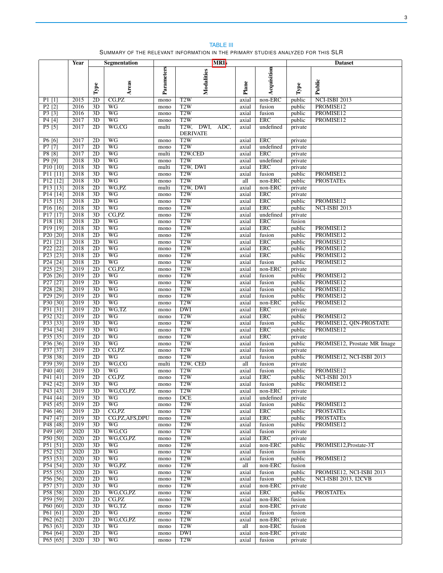<span id="page-2-0"></span>

|                                              | Year         |                                    | <b>Segmentation</b>                | <b>MRIs</b>   |                                         |                | <b>Dataset</b>           |                    |                              |
|----------------------------------------------|--------------|------------------------------------|------------------------------------|---------------|-----------------------------------------|----------------|--------------------------|--------------------|------------------------------|
|                                              |              |                                    |                                    |               |                                         |                |                          |                    |                              |
|                                              |              |                                    |                                    |               |                                         |                |                          |                    |                              |
|                                              |              |                                    |                                    |               |                                         |                |                          |                    |                              |
|                                              |              | Type                               | Areas                              | Parameters    | Modalities                              | Plane          | Acquisition              | $\mathbf{Type}$    | Public                       |
| $P1$ [1]                                     | 2015         | 2D                                 | CG.PZ                              | mono          | T <sub>2</sub> W                        | axial          | $non-ERC$                | public             | NCI-ISBI 2013                |
| P2[2]                                        | 2016         | $\overline{3D}$                    | $\overline{WG}$                    | mono          | T2W                                     | axial          | fusion                   | public             | PROMISE12                    |
| P3[3]                                        | 2016         | $\overline{3D}$                    | $\overline{WG}$                    | mono          | T2W                                     | axial          | fusion                   | public             | PROMISE12                    |
| P4 [4]                                       | 2017         | 3D                                 | $\overline{WG}$                    | mono          | T2W                                     | axial          | <b>ERC</b>               | public             | PROMISE12                    |
| P5[5]                                        | 2017         | 2D                                 | WG,CG                              | multi         | T <sub>2</sub> W,<br>DWI,<br>ADC,       | axial          | undefined                | private            |                              |
|                                              |              |                                    |                                    |               | <b>DERIVATE</b>                         |                |                          |                    |                              |
| P6 [6]                                       | 2017         | 2D<br>2D                           | WG                                 | mono          | T2W                                     | axial          | <b>ERC</b>               | private            |                              |
| P7[7]<br>P8 [8]                              | 2017<br>2017 | 2D                                 | WG<br>WG                           | mono<br>multi | T2W<br>T <sub>2</sub> W <sub>,CED</sub> | axial<br>axial | undefined<br><b>ERC</b>  | private<br>private |                              |
| P9 [9]                                       | 2018         | 3D                                 | WG                                 | mono          | T2W                                     | axial          | undefined                | private            |                              |
| P <sub>10</sub> [10]                         | 2018         | 3D                                 | WG                                 | multi         | T2W, DWI                                | axial          | <b>ERC</b>               | private            |                              |
| $P11$ [11]                                   | 2018         | 3D                                 | WG                                 | mono          | T <sub>2</sub> W                        | axial          | fusion                   | public             | PROMISE12                    |
| P <sub>12</sub> [12]                         | 2018         | 3D                                 | $\overline{WG}$                    | mono          | T2W                                     | all            | non-ERC                  | public             | <b>PROSTATEX</b>             |
| P <sub>13</sub> [13]                         | 2018         | 2D                                 | WG, PZ                             | multi         | T <sub>2</sub> W, DWI                   | axial          | $non-ERC$                | private            |                              |
| P <sub>14</sub> [14]                         | 2018         | 3D                                 | $\overline{WG}$                    | mono          | T2W                                     | axial          | <b>ERC</b>               | private            |                              |
| $P15$ [15]<br>P16[16]                        | 2018         | $\overline{2D}$                    | $\overline{WG}$<br>$\overline{WG}$ | mono          | T2W                                     | axial          | <b>ERC</b><br><b>ERC</b> | public             | PROMISE12                    |
| P <sub>17</sub> [17]                         | 2018<br>2018 | $\overline{3D}$<br>$\overline{3D}$ | $\overline{CG.PZ}$                 | mono<br>mono  | T2W<br>T2W                              | axial<br>axial | undefined                | public<br>private  | NCI-ISBI 2013                |
| P <sub>18</sub> [18]                         | 2018         | 2D                                 | $\overline{WG}$                    | mono          | T2W                                     | axial          | <b>ERC</b>               | fusion             |                              |
| P19[19]                                      | 2018         | 3D                                 | $\overline{WG}$                    | mono          | T2W                                     | axial          | <b>ERC</b>               | public             | PROMISE12                    |
| P20 <sup>[20]</sup>                          | 2018         | $\overline{2D}$                    | $\overline{WG}$                    | mono          | T2W                                     | axial          | fusion                   | public             | PROMISE12                    |
| P21 [21]                                     | 2018         | $\overline{2D}$                    | WG                                 | mono          | T2W                                     | axial          | <b>ERC</b>               | public             | PROMISE12                    |
| P <sub>22</sub> [22]                         | 2018         | 2D                                 | $\overline{WG}$                    | mono          | T2W                                     | axial          | <b>ERC</b>               | public             | PROMISE12                    |
| P <sub>23</sub> [23]                         | 2018         | 2D                                 | $\overline{WG}$                    | mono          | T2W                                     | axial          | <b>ERC</b>               | public             | PROMISE12                    |
| P <sub>24</sub> [24]                         | 2018         | $\overline{2D}$                    | $\overline{\text{WG}}$             | mono          | T2W                                     | axial          | fusion                   | public             | PROMISE12                    |
| $P25$ [25]                                   | 2019<br>2019 | $\overline{2D}$<br>2D              | CG, PZ<br>$\overline{WG}$          | mono          | T2W<br>T2W                              | axial<br>axial | non-ERC<br>fusion        | private            | PROMISE12                    |
| P <sub>26</sub> [26]<br>P <sub>27</sub> [27] | 2019         | 2D                                 | $\overline{WG}$                    | mono<br>mono  | T2W                                     | axial          | fusion                   | public<br>public   | PROMISE12                    |
| P <sub>28</sub> [28]                         | 2019         | 3D                                 | $\overline{WG}$                    | mono          | T2W                                     | axial          | fusion                   | public             | PROMISE12                    |
| P <sub>29</sub> [29]                         | 2019         | $\overline{2D}$                    | $\overline{WG}$                    | mono          | T2W                                     | axial          | fusion                   | public             | PROMISE12                    |
| P30 [30]                                     | 2019         | 3D                                 | $\overline{WG}$                    | mono          | T2W                                     | axial          | $non-ERC$                | public             | PROMISE12                    |
| P31 [31]                                     | 2019         | $\overline{2D}$                    | WG,TZ                              | mono          | <b>DWI</b>                              | axial          | <b>ERC</b>               | private            |                              |
| P32 <sup>[32]</sup>                          | 2019         | 2D                                 | $\overline{WG}$                    | mono          | T2W                                     | axial          | ERC                      | public             | PROMISE12                    |
| P33 [33]                                     | 2019         | $\overline{3D}$                    | $\overline{WG}$                    | mono          | T2W                                     | axial          | fusion                   | public             | PROMISE12, QIN-PROSTATE      |
| P34 [34]<br>P35 [35]                         | 2019<br>2019 | 3D<br>$\overline{2D}$              | $\overline{WG}$<br>$\overline{WG}$ | mono<br>mono  | T2W<br>T2W                              | axial<br>axial | <b>ERC</b><br><b>ERC</b> | public<br>private  | PROMISE12                    |
| P36 [36]                                     | 2019         | $\overline{3D}$                    | $\overline{WG}$                    | mono          | T2W                                     | axial          | fusion                   | public             | PROMISE12, Prostate MR Image |
| P37 [37]                                     | 2019         | 2D                                 | CG, PZ                             | mono          | T2W                                     | axial          | fusion                   | private            |                              |
| P38 [38]                                     | 2019         | 2D                                 | $\overline{WG}$                    | mono          | T2W                                     | axial          | fusion                   | public             | PROMISE12, NCI-ISBI 2013     |
| P39 <sup>[39]</sup>                          | 2019         | 2D                                 | WG,CG                              | multi         | T <sub>2</sub> W, CED                   | all            | fusion                   | private            |                              |
| P40 [40]                                     | 2019         | 3D                                 | $\overline{WG}$                    | mono          | T2W                                     | axial          | fusion                   | public             | PROMISE12                    |
| P41 [41]                                     | 2019         | 2D                                 | CG, PZ                             | mono          | T <sub>2</sub> W                        | axial          | <b>ERC</b>               | public             | NCI-ISBI 2013                |
| P42 [42]                                     | 2019         | 3D                                 | WG                                 | mono          | T <sub>2</sub> W                        | axial          | fusion                   | public             | PROMISE12                    |
| P43 [43]<br>P44 [44]                         | 2019<br>2019 | 3D<br>3D                           | WG,CG,PZ<br>WG                     | mono<br>mono  | T <sub>2</sub> W<br>DCE                 | axial<br>axial | non-ERC<br>undefined     | private<br>private |                              |
| P45 [45]                                     | 2019         | 2D                                 | <b>WG</b>                          | mono          | T2W                                     | axial          | fusion                   | public             | PROMISE12                    |
| P <sub>46</sub> [46]                         | 2019         | 2D                                 | CG.PZ                              | mono          | T2W                                     | axial          | <b>ERC</b>               | public             | <b>PROSTATEx</b>             |
| P47 [47]                                     | 2019         | 3D                                 | CG, PZ, AFS, DPU                   | mono          | T2W                                     | axial          | <b>ERC</b>               | public             | <b>PROSTATEx</b>             |
| P48 [48]                                     | 2019         | 3D                                 | WG                                 | mono          | T2W                                     | axial          | fusion                   | public             | PROMISE12                    |
| P49 [49]                                     | 2020         | 3D                                 | WG,CG                              | mono          | T2W                                     | axial          | fusion                   | private            |                              |
| P50 [50]                                     | 2020         | 2D                                 | WG.CG.PZ                           | mono          | T2W                                     | axial          | <b>ERC</b>               | private            |                              |
| P51 [51]                                     | 2020         | 3D                                 | WG                                 | mono          | T2W                                     | axial          | $non-ERC$                | public             | PROMISE12.Prostate-3T        |
| P52 [52]<br>P53 [53]                         | 2020<br>2020 | 2D<br>3D                           | <b>WG</b><br>$\overline{WG}$       | mono<br>mono  | T2W<br>T2W                              | axial<br>axial | fusion<br>fusion         | fusion<br>public   | PROMISE12                    |
| P54 [54]                                     | 2020         | 3D                                 | WG, PZ                             | mono          | T2W                                     | all            | non-ERC                  | fusion             |                              |
| P55 [55]                                     | 2020         | 2D                                 | <b>WG</b>                          | mono          | T2W                                     | axial          | fusion                   | public             | PROMISE12, NCI-ISBI 2013     |
| P56 [56]                                     | 2020         | 2D                                 | $\overline{WG}$                    | mono          | T2W                                     | axial          | fusion                   | public             | <b>NCI-ISBI 2013, I2CVB</b>  |
| P57 [57]                                     | 2020         | 3D                                 | $\overline{WG}$                    | mono          | T2W                                     | axial          | $non-ERC$                | private            |                              |
| P58 [58]                                     | 2020         | 2D                                 | WG,CG,PZ                           | mono          | T2W                                     | axial          | <b>ERC</b>               | public             | <b>PROSTATEx</b>             |
| P59 [59]                                     | 2020         | 2D                                 | CG.PZ                              | mono          | T2W                                     | axial          | non-ERC                  | fusion             |                              |
| P60 [60]                                     | 2020<br>2020 | 3D                                 | WG,TZ<br>$\overline{WG}$           | mono          | T2W                                     | axial          | $non-ERC$                | private            |                              |
| $P61$ [61]<br>P62 [62]                       | 2020         | 2D<br>2D                           | WG,CG,PZ                           | mono<br>mono  | T2W<br>T2W                              | axial<br>axial | fusion<br>$non-ERC$      | fusion<br>private  |                              |
| P63 [63]                                     | 2020         | 3D                                 | <b>WG</b>                          | mono          | T2W                                     | all            | non-ERC                  | fusion             |                              |
| P64 [64]                                     | 2020         | 2D                                 | $\overline{WG}$                    | mono          | <b>DWI</b>                              | axial          | non-ERC                  | private            |                              |
| P65 [65]                                     | 2020         | 3D                                 | $\overline{WG}$                    | mono          | T2W                                     | axial          | fusion                   | private            |                              |

TABLE III SUMMARY OF THE RELEVANT INFORMATION IN THE PRIMARY STUDIES ANALYZED FOR THIS SLR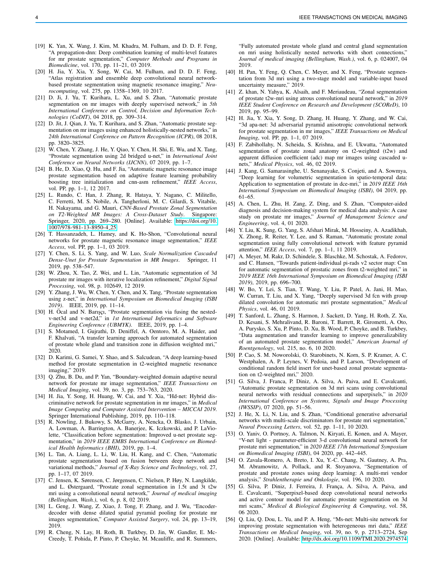- [19] K. Yan, X. Wang, J. Kim, M. Khadra, M. Fulham, and D. D. F. Feng, "A propagation-dnn: Deep combination learning of multi-level features for mr prostate segmentation," *Computer Methods and Programs in Biomedicine*, vol. 170, pp. 11–21, 03 2019.
- [20] H. Jia, Y. Xia, Y. Song, W. Cai, M. Fulham, and D. D. F. Feng, "Atlas registration and ensemble deep convolutional neural networkbased prostate segmentation using magnetic resonance imaging," *Neurocomputing*, vol. 275, pp. 1358–1369, 10 2017.
- [21] D. Ji, J. Yu, T. Kurihara, L. Xu, and S. Zhan, "Automatic prostate segmentation on mr images with deeply supervised network," in *5th International Conference on Control, Decision and Information Technologies (CoDIT)*, 04 2018, pp. 309–314.
- [22] D. Jit, J. Qian, J. Yu, T. Kurihara, and S. Zhan, "Automatic prostate segmentation on mr images using enhanced holistically-nested networks," in *24th International Conference on Pattern Recognition (ICPR)*, 08 2018, pp. 3820–3825.
- [23] W. Chen, Y. Zhang, J. He, Y. Qiao, Y. Chen, H. Shi, E. Wu, and X. Tang, "Prostate segmentation using 2d bridged u-net," in *International Joint Conference on Neural Networks (IJCNN)*, 07 2019, pp. 1–7.
- [24] B. He, D. Xiao, Q. Hu, and F. Jia, "Automatic magnetic resonance image prostate segmentation based on adaptive feature learning probability boosting tree initialization and cnn-asm refinement," *IEEE Access*, vol. PP, pp. 1–1, 12 2017.
- [25] L. Rundo, C. Han, J. Zhang, R. Hataya, Y. Nagano, C. Militello, C. Ferretti, M. S. Nobile, A. Tangherloni, M. C. Gilardi, S. Vitabile, H. Nakayama, and G. Mauri, *CNN-Based Prostate Zonal Segmentation on T2-Weighted MR Images: A Cross-Dataset Study*. Singapore: Springer, 2020, pp. 269–280. [Online]. Available: [https://doi.org/10.](https://doi.org/10.1007/978-981-13-8950-4_25) [1007/978-981-13-8950-4](https://doi.org/10.1007/978-981-13-8950-4_25) 25
- [26] T. Hassanzadeh, L. Hamey, and K. Ho-Shon, "Convolutional neural networks for prostate magnetic resonance image segmentation," *IEEE Access*, vol. PP, pp. 1–1, 03 2019.
- [27] Y. Chen, S. Li, S. Yang, and W. Luo, *Scale Normalization Cascaded Dense-Unet for Prostate Segmentation in MR Images*. Springer, 11 2019, pp. 538–547.
- [28] W. Zhou, X. Tao, Z. Wei, and L. Lin, "Automatic segmentation of 3d prostate mr images with iterative localization refinement," *Digital Signal Processing*, vol. 98, p. 102649, 12 2019.
- [29] Y. Zhang, J. Wu, W. Chen, Y. Chen, and X. Tang, "Prostate segmentation using z-net," in *International Symposium on Biomedical Imaging (ISBI 2019)*. IEEE, 2019, pp. 11–14.
- [30] H. Ocal and N. Barışçı, "Prostate segmentation via fusing the nestedv-net3d and v-net2d," in *1st International Informatics and Software Engineering Conference (UBMYK)*. IEEE, 2019, pp. 1–4.
- [31] S. Motamed, I. Gujrathi, D. Deniffel, A. Oentoro, M. A. Haider, and F. Khalvati, "A transfer learning approach for automated segmentation of prostate whole gland and transition zone in diffusion weighted mri," 2020.
- [32] D. Karimi, G. Samei, Y. Shao, and S. Salcudean, "A deep learning-based method for prostate segmentation in t2-weighted magnetic resonance imaging," 2019.
- [33] Q. Zhu, B. Du, and P. Yan, "Boundary-weighted domain adaptive neural network for prostate mr image segmentation," *IEEE Transactions on Medical Imaging*, vol. 39, no. 3, pp. 753–763, 2020.
- [34] H. Jia, Y. Song, H. Huang, W. Cai, and Y. Xia, "Hd-net: Hybrid discriminative network for prostate segmentation in mr images," in *Medical Image Computing and Computer Assisted Intervention – MICCAI 2019*. Springer International Publishing, 2019, pp. 110–118.
- [35] R. Nowling, J. Bukowy, S. McGarry, A. Nencka, O. Blasko, J. Urbain, A. Lowman, A. Barrington, A. Banerjee, K. Iczkowski, and P. LaViolette, "Classification before segmentation: Improved u-net prostate segmentation," in *2019 IEEE EMBS International Conference on Biomedical Health Informatics (BHI)*, 2019, pp. 1–4.
- [36] L. Tan, A. Liang, L. Li, W. Liu, H. Kang, and C. Chen, "Automatic prostate segmentation based on fusion between deep network and variational methods," *Journal of X-Ray Science and Technology*, vol. 27, pp. 1–17, 07 2019.
- [37] C. Jensen, K. Sørensen, C. Jørgensen, C. Nielsen, P. Høy, N. Langkilde, and L. Østergaard, "Prostate zonal segmentation in 1.5t and 3t t2w mri using a convolutional neural network," *Journal of medical imaging (Bellingham, Wash.)*, vol. 6, p. 8, 02 2019.
- [38] L. Geng, J. Wang, Z. Xiao, J. Tong, F. Zhang, and J. Wu, "Encoderdecoder with dense dilated spatial pyramid pooling for prostate mr images segmentation," *Computer Assisted Surgery*, vol. 24, pp. 13–19, 2019.
- [39] R. Cheng, N. Lay, H. Roth, B. Turkbey, D. Jin, W. Gandler, E. Mc-Creedy, T. Pohida, P. Pinto, P. Choyke, M. Mcauliffe, and R. Summers,

"Fully automated prostate whole gland and central gland segmentation on mri using holistically nested networks with short connections," *Journal of medical imaging (Bellingham, Wash.)*, vol. 6, p. 024007, 04 2019.

- [40] H. Pan, Y. Feng, Q. Chen, C. Meyer, and X. Feng, "Prostate segmentation from 3d mri using a two-stage model and variable-input based uncertainty measure," 2019.
- [41] Z. khan, N. Yahya, K. Alsaih, and F. Meriaudeau, "Zonal segmentation of prostate t2w-mri using atrous convolutional neural network," in *2019 IEEE Student Conference on Research and Development (SCOReD)*, 10 2019, pp. 95–99.
- [42] H. Jia, Y. Xia, Y. Song, D. Zhang, H. Huang, Y. Zhang, and W. Cai, "3d apa-net: 3d adversarial pyramid anisotropic convolutional network for prostate segmentation in mr images," *IEEE Transactions on Medical Imaging*, vol. PP, pp. 1–1, 07 2019.
- [43] F. Zabihollahy, N. Scheida, S. Krishna, and E. Ukwatta, "Automated segmentation of prostate zonal anatomy on t2-weighted (t2w) and apparent diffusion coefficient (adc) map mr images using cascaded unets," *Medical Physics*, vol. 46, 02 2019.
- [44] J. Kang, G. Samarasinghe, U. Senanayake, S. Conjeti, and A. Sowmya, "Deep learning for volumetric segmentation in spatio-temporal data: Application to segmentation of prostate in dce-mri," in *2019 IEEE 16th International Symposium on Biomedical Imaging (ISBI)*, 04 2019, pp. 61–65.
- [45] A. Chen, L. Zhu, H. Zang, Z. Ding, and S. Zhan, "Computer-aided diagnosis and decision-making system for medical data analysis: A case study on prostate mr images," *Journal of Management Science and Engineering*, vol. 4, 01 2020.
- [46] Y. Liu, K. Sung, G. Yang, S. Afshari Mirak, M. Hosseiny, A. Azadikhah, X. Zhong, R. Reiter, Y. Lee, and S. Raman, "Automatic prostate zonal segmentation using fully convolutional network with feature pyramid attention," *IEEE Access*, vol. 7, pp. 1–1, 11 2019.
- [47] A. Meyer, M. Rakr, D. Schindele, S. Blaschke, M. Schostak, A. Fedorov, and C. Hansen, "Towards patient-individual pi-rads v2 sector map: Cnn for automatic segmentation of prostatic zones from t2-weighted mri," in *2019 IEEE 16th International Symposium on Biomedical Imaging (ISBI 2019)*, 2019, pp. 696–700.
- [48] W. Bo, Y. Lei, S. Tian, T. Wang, Y. Liu, P. Patel, A. Jani, H. Mao, W. Curran, T. Liu, and X. Yang, "Deeply supervised 3d fcn with group dilated convolution for automatic mri prostate segmentation," *Medical Physics*, vol. 46, 01 2019.
- [49] T. Sanford, L. Zhang, S. Harmon, J. Sackett, D. Yang, H. Roth, Z. Xu, D. Kesani, S. Mehralivand, R. Baroni, T. Barrett, R. Girometti, A. Oto, A. Purysko, S. Xu, P. Pinto, D. Xu, B. Wood, P. Choyke, and B. Turkbey, "Data augmentation and transfer learning to improve generalizability of an automated prostate segmentation model," *American Journal of Roentgenology*, vol. 215, no. 6, 10 2020.
- [50] P. Cao, S. M. Noworolski, O. Starobinets, N. Korn, S. P. Kramer, A. C. Westphalen, A. P. Leynes, V. Pedoia, and P. Larson, "Development of conditional random field insert for unet-based zonal prostate segmentation on t2-weighted mri," 2020.
- [51] G. Silva, J. Franca, P. Diniz, A. Silva, A. Paiva, and E. Cavalcanti, "Automatic prostate segmentation on 3d mri scans using convolutional neural networks with residual connections and superpixels," in *2020 International Conference on Systems, Signals and Image Processing (IWSSIP)*, 07 2020, pp. 51–56.
- [52] J. He, X. Li, N. Liu, and S. Zhan, "Conditional generative adversarial networks with multi-scale discriminators for prostate mri segmentation," *Neural Processing Letters*, vol. 52, pp. 1–11, 10 2020.
- [53] O. Yaniv, O. Portnoy, A. Talmon, N. Kiryati, E. Konen, and A. Mayer, "V-net light - parameter-efficient 3-d convolutional neural network for prostate mri segmentation," in *2020 IEEE 17th International Symposium on Biomedical Imaging (ISBI)*, 04 2020, pp. 442–445.
- [54] O. Zavala-Romero, A. Breto, I. Xu, Y.-C. Chang, N. Gautney, A. Pra, M. Abramowitz, A. Pollack, and R. Stoyanova, "Segmentation of prostate and prostate zones using deep learning: A multi-mri vendor analysis," *Strahlentherapie und Onkologie*, vol. 196, 10 2020.
- [55] G. Silva, P. Diniz, J. Ferreira, J. França, A. Silva, A. Paiva, and E. Cavalcanti, "Superpixel-based deep convolutional neural networks and active contour model for automatic prostate segmentation on 3d mri scans," *Medical & Biological Engineering & Computing*, vol. 58, 06 2020.
- [56] Q. Liu, Q. Dou, L. Yu, and P. A. Heng, "Ms-net: Multi-site network for improving prostate segmentation with heterogeneous mri data," *IEEE Transactions on Medical Imaging*, vol. 39, no. 9, p. 2713–2724, Sep 2020. [Online]. Available:<http://dx.doi.org/10.1109/TMI.2020.2974574>